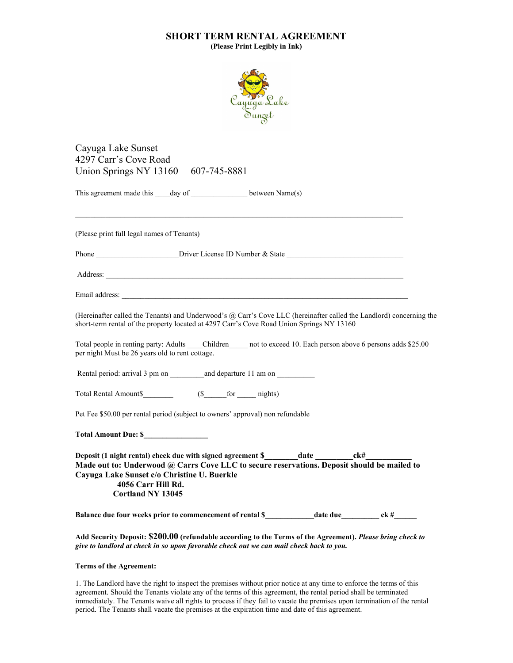## SHORT TERM RENTAL AGREEMENT

(Please Print Legibly in Ink)



Cayuga Lake Sunset 4297 Carr's Cove Road Union Springs NY 13160 607-745-8881

This agreement made this \_\_\_\_day of \_\_\_\_\_\_\_\_\_\_\_\_\_\_\_\_\_\_ between Name(s)

(Please print full legal names of Tenants)

Phone **Example 2** Driver License ID Number & State

Address:

Email address:

(Hereinafter called the Tenants) and Underwood's @ Carr's Cove LLC (hereinafter called the Landlord) concerning the short-term rental of the property located at 4297 Carr's Cove Road Union Springs NY 13160

Total people in renting party: Adults Children and to exceed 10. Each person above 6 persons adds \$25.00 per night Must be 26 years old to rent cottage.

Rental period: arrival 3 pm on and departure 11 am on

Total Rental Amount\$\_\_\_\_\_\_\_\_\_ (\$\_\_\_\_\_\_for \_\_\_\_ nights)

Pet Fee \$50.00 per rental period (subject to owners' approval) non refundable

Total Amount Due: \$\_\_\_\_\_\_\_\_\_\_\_\_\_\_\_\_\_

Deposit (1 night rental) check due with signed agreement \$\_\_\_\_\_\_\_\_\_\_date \_\_\_\_\_\_\_\_\_\_\_ck#\_ Made out to: Underwood @ Carrs Cove LLC to secure reservations. Deposit should be mailed to Cayuga Lake Sunset c/o Christine U. Buerkle 4056 Carr Hill Rd. Cortland NY 13045

Balance due four weeks prior to commencement of rental \$ \_\_\_\_\_\_\_\_\_\_\_\_\_\_\_\_\_\_\_\_\_\_\_\_ ck #

Add Security Deposit: \$200.00 (refundable according to the Terms of the Agreement). Please bring check to give to landlord at check in so upon favorable check out we can mail check back to you.

## Terms of the Agreement:

1. The Landlord have the right to inspect the premises without prior notice at any time to enforce the terms of this agreement. Should the Tenants violate any of the terms of this agreement, the rental period shall be terminated immediately. The Tenants waive all rights to process if they fail to vacate the premises upon termination of the rental period. The Tenants shall vacate the premises at the expiration time and date of this agreement.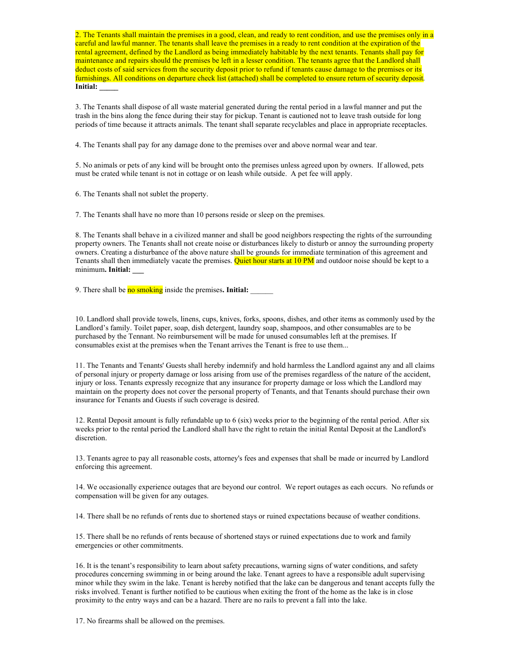2. The Tenants shall maintain the premises in a good, clean, and ready to rent condition, and use the premises only in a careful and lawful manner. The tenants shall leave the premises in a ready to rent condition at the expiration of the rental agreement, defined by the Landlord as being immediately habitable by the next tenants. Tenants shall pay for maintenance and repairs should the premises be left in a lesser condition. The tenants agree that the Landlord shall deduct costs of said services from the security deposit prior to refund if tenants cause damage to the premises or its furnishings. All conditions on departure check list (attached) shall be completed to ensure return of security deposit. Initial: \_\_\_\_\_

3. The Tenants shall dispose of all waste material generated during the rental period in a lawful manner and put the trash in the bins along the fence during their stay for pickup. Tenant is cautioned not to leave trash outside for long periods of time because it attracts animals. The tenant shall separate recyclables and place in appropriate receptacles.

4. The Tenants shall pay for any damage done to the premises over and above normal wear and tear.

5. No animals or pets of any kind will be brought onto the premises unless agreed upon by owners. If allowed, pets must be crated while tenant is not in cottage or on leash while outside. A pet fee will apply.

6. The Tenants shall not sublet the property.

7. The Tenants shall have no more than 10 persons reside or sleep on the premises.

8. The Tenants shall behave in a civilized manner and shall be good neighbors respecting the rights of the surrounding property owners. The Tenants shall not create noise or disturbances likely to disturb or annoy the surrounding property owners. Creating a disturbance of the above nature shall be grounds for immediate termination of this agreement and Tenants shall then immediately vacate the premises. Quiet hour starts at 10 PM and outdoor noise should be kept to a minimum. Initial:

9. There shall be no smoking inside the premises. Initial:

10. Landlord shall provide towels, linens, cups, knives, forks, spoons, dishes, and other items as commonly used by the Landlord's family. Toilet paper, soap, dish detergent, laundry soap, shampoos, and other consumables are to be purchased by the Tennant. No reimbursement will be made for unused consumables left at the premises. If consumables exist at the premises when the Tenant arrives the Tenant is free to use them...

11. The Tenants and Tenants' Guests shall hereby indemnify and hold harmless the Landlord against any and all claims of personal injury or property damage or loss arising from use of the premises regardless of the nature of the accident, injury or loss. Tenants expressly recognize that any insurance for property damage or loss which the Landlord may maintain on the property does not cover the personal property of Tenants, and that Tenants should purchase their own insurance for Tenants and Guests if such coverage is desired.

12. Rental Deposit amount is fully refundable up to 6 (six) weeks prior to the beginning of the rental period. After six weeks prior to the rental period the Landlord shall have the right to retain the initial Rental Deposit at the Landlord's discretion.

13. Tenants agree to pay all reasonable costs, attorney's fees and expenses that shall be made or incurred by Landlord enforcing this agreement.

14. We occasionally experience outages that are beyond our control. We report outages as each occurs. No refunds or compensation will be given for any outages.

14. There shall be no refunds of rents due to shortened stays or ruined expectations because of weather conditions.

15. There shall be no refunds of rents because of shortened stays or ruined expectations due to work and family emergencies or other commitments.

16. It is the tenant's responsibility to learn about safety precautions, warning signs of water conditions, and safety procedures concerning swimming in or being around the lake. Tenant agrees to have a responsible adult supervising minor while they swim in the lake. Tenant is hereby notified that the lake can be dangerous and tenant accepts fully the risks involved. Tenant is further notified to be cautious when exiting the front of the home as the lake is in close proximity to the entry ways and can be a hazard. There are no rails to prevent a fall into the lake.

17. No firearms shall be allowed on the premises.